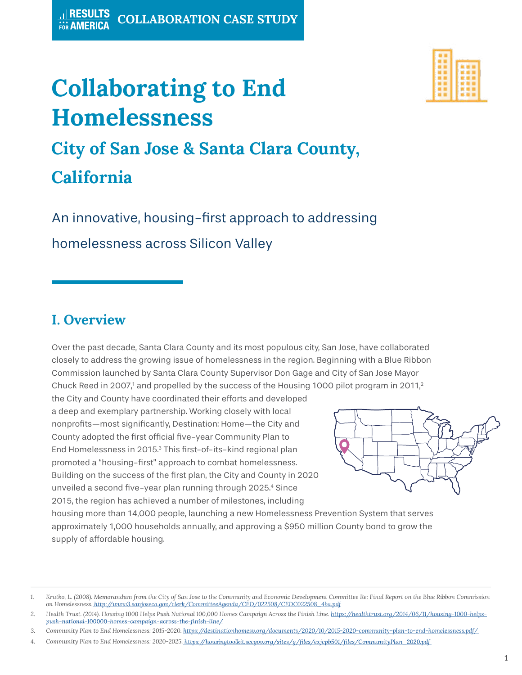# **Collaborating to End Homelessness**



## **City of San Jose & Santa Clara County, California**

An innovative, housing-first approach to addressing homelessness across Silicon Valley

### **I. Overview**

Over the past decade, Santa Clara County and its most populous city, San Jose, have collaborated closely to address the growing issue of homelessness in the region. Beginning with a Blue Ribbon Commission launched by Santa Clara County Supervisor Don Gage and City of San Jose Mayor Chuck Reed in 2007,<sup>1</sup> and propelled by the success of the Housing 1000 pilot program in 2011,<sup>2</sup>

the City and County have coordinated their efforts and developed a deep and exemplary partnership. Working closely with local nonprofits—most significantly, Destination: Home—the City and County adopted the first official five-year Community Plan to End Homelessness in 2015.3 This first-of-its-kind regional plan promoted a "housing-first" approach to combat homelessness. Building on the success of the first plan, the City and County in 2020 unveiled a second five-year plan running through 2025.4 Since 2015, the region has achieved a number of milestones, including



housing more than 14,000 people, launching a new Homelessness Prevention System that serves approximately 1,000 households annually, and approving a \$950 million County bond to grow the supply of affordable housing.

*<sup>1.</sup> Krutko, L. (2008). Memorandum from the City of San Jose to the Community and Economic Development Committee Re: Final Report on the Blue Ribbon Commission on Homelessness. [http://www3.sanjoseca.gov/clerk/CommitteeAgenda/CED/022508/CEDC022508\\_4ba.pdf]( http://www3.sanjoseca.gov/clerk/CommitteeAgenda/CED/022508/CEDC022508_4ba.pdf)* 

*<sup>2.</sup> [Health Trust. \(2014\). Housing 1000 Helps Push National 100,000 H](https://healthtrust.org/2014/06/11/housing-1000-helps-push-national-100000-homes-campaign-across-the)omes Campaign Across the Finish Line. [https://healthtrust.org/2014/06/11/housing-1000-helps-](https://healthtrust.org/2014/06/11/housing-1000-helps-push-national-100000-homes-campaign-across-the)*

*<sup>3.</sup> Community Plan to End Homelessness: 2015-2020. [https://destinationhomesv.org/documents/2020/10/2015-2020-community-plan-to-end-homelessness.pdf/](https://destinationhomesv.org/documents/2020/10/2015-2020-community-plan-to-end-homelessness.pdf/ )* 

*<sup>4.</sup> Community Plan to End Homelessness: 2020-2025.*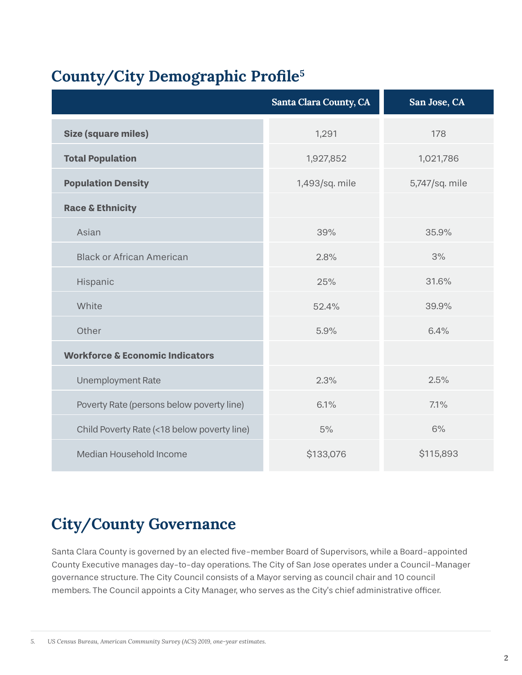### **County/City Demographic Profile<sup>5</sup>**

|                                             | <b>Santa Clara County, CA</b> | San Jose, CA   |
|---------------------------------------------|-------------------------------|----------------|
| <b>Size (square miles)</b>                  | 1,291                         | 178            |
| <b>Total Population</b>                     | 1,927,852                     | 1,021,786      |
| <b>Population Density</b>                   | 1,493/sq. mile                | 5,747/sq. mile |
| <b>Race &amp; Ethnicity</b>                 |                               |                |
| Asian                                       | 39%                           | 35,9%          |
| <b>Black or African American</b>            | 2.8%                          | 3%             |
| Hispanic                                    | 25%                           | 31.6%          |
| White                                       | 52.4%                         | 39.9%          |
| Other                                       | 5.9%                          | 6.4%           |
| <b>Workforce &amp; Economic Indicators</b>  |                               |                |
| <b>Unemployment Rate</b>                    | 2.3%                          | 2.5%           |
| Poverty Rate (persons below poverty line)   | 6.1%                          | 7.1%           |
| Child Poverty Rate (<18 below poverty line) | 5%                            | 6%             |
| Median Household Income                     | \$133,076                     | \$115,893      |

### **City/County Governance**

Santa Clara County is governed by an elected five-member Board of Supervisors, while a Board-appointed County Executive manages day-to-day operations. The City of San Jose operates under a Council-Manager governance structure. The City Council consists of a Mayor serving as council chair and 10 council members. The Council appoints a City Manager, who serves as the City's chief administrative officer.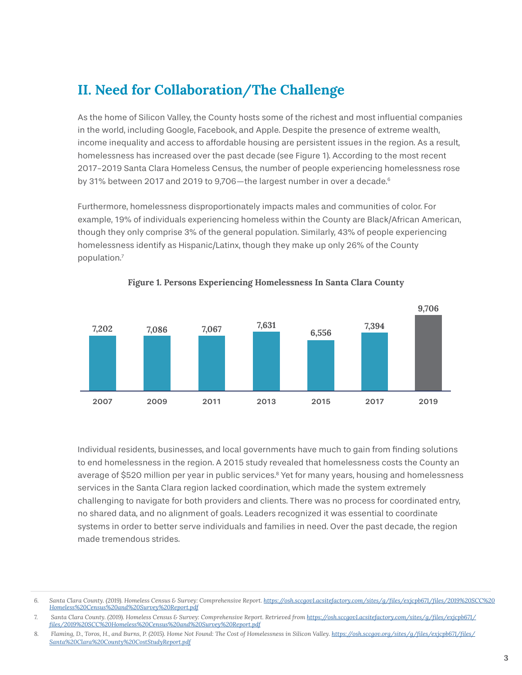#### **II. Need for Collaboration/The Challenge**

As the home of Silicon Valley, the County hosts some of the richest and most influential companies in the world, including Google, Facebook, and Apple. Despite the presence of extreme wealth, income inequality and access to affordable housing are persistent issues in the region. As a result, homelessness has increased over the past decade (see Figure 1). According to the most recent 2017-2019 Santa Clara Homeless Census, the number of people experiencing homelessness rose by 31% between 2017 and 2019 to 9,706-the largest number in over a decade.<sup>6</sup>

Furthermore, homelessness disproportionately impacts males and communities of color. For example, 19% of individuals experiencing homeless within the County are Black/African American, though they only comprise 3% of the general population. Similarly, 43% of people experiencing homelessness identify as Hispanic/Latinx, though they make up only 26% of the County population.7



#### **Figure 1. Persons Experiencing Homelessness In Santa Clara County**

Individual residents, businesses, and local governments have much to gain from finding solutions to end homelessness in the region. A 2015 study revealed that homelessness costs the County an average of \$520 million per year in public services.<sup>8</sup> Yet for many years, housing and homelessness services in the Santa Clara region lacked coordination, which made the system extremely challenging to navigate for both providers and clients. There was no process for coordinated entry, no shared data, and no alignment of goals. Leaders recognized it was essential to coordinate systems in order to better serve individuals and families in need. Over the past decade, the region made tremendous strides.

<sup>6.</sup> Santa Clara County. (2019). Homeless Census & Survey: Comprehensive Report. [https://osh.sccgov1.acsitefactory.com/sites/g/files/exjcpb671/files/2019%20SCC%20](https://osh.sccgov1.acsitefactory.com/sites/g/files/exjcpb671/files/2019%20SCC%20Homeless%20Census%2) *[Homeless%20Census%20and%20Survey%20Report.pdf](https://osh.sccgov1.acsitefactory.com/sites/g/files/exjcpb671/files/2019%20SCC%20Homeless%20Census%2)* 

*<sup>7.</sup> Santa Clara County. (2019). Homeless Census & Survey: Comprehensive Report. Retrieved from [https://osh.sccgov1.acsitefactory.com/sites/g/files/exjcpb671/](https://osh.sccgov1.acsitefactory.com/sites/g/files/exjcpb671/files/2019%20SCC%20Homeless%20Census%2) [files/2019%20SCC%20Homeless%20Census%20and%20Survey%20Report.pdf](https://osh.sccgov1.acsitefactory.com/sites/g/files/exjcpb671/files/2019%20SCC%20Homeless%20Census%2)*

<sup>8.</sup> Flaming, D., Toros, H., and Burns, P. (2015). Home Not Found: The Cost of Homelessness in Silicon Valley. *[https://osh.sccgov.org/sites/g/files/exjcpb671/files/](https://osh.sccgov.org/sites/g/files/exjcpb671/files/Santa%20Clara%20County%20CostStudyReport.pdf) [Santa%20Clara%20County%20CostStudyReport.pdf](https://osh.sccgov.org/sites/g/files/exjcpb671/files/Santa%20Clara%20County%20CostStudyReport.pdf)*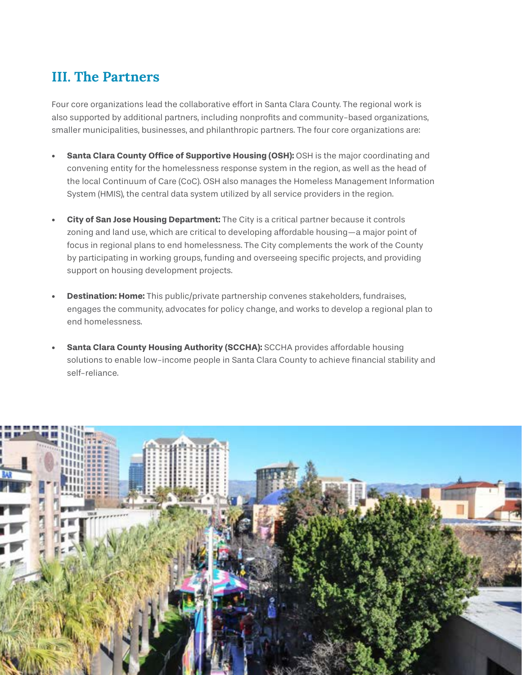#### **III. The Partners**

Four core organizations lead the collaborative effort in Santa Clara County. The regional work is also supported by additional partners, including nonprofits and community-based organizations, smaller municipalities, businesses, and philanthropic partners. The four core organizations are:

- **•• Santa Clara County Office of Supportive Housing (OSH):** OSH is the major coordinating and convening entity for the homelessness response system in the region, as well as the head of the local Continuum of Care (CoC). OSH also manages the Homeless Management Information System (HMIS), the central data system utilized by all service providers in the region.
- **• City of San Jose Housing Department:** The City is a critical partner because it controls zoning and land use, which are critical to developing affordable housing—a major point of focus in regional plans to end homelessness. The City complements the work of the County by participating in working groups, funding and overseeing specific projects, and providing support on housing development projects.
- **• Destination: Home:** This public/private partnership convenes stakeholders, fundraises, engages the community, advocates for policy change, and works to develop a regional plan to end homelessness.
- **• Santa Clara County Housing Authority (SCCHA):** SCCHA provides affordable housing solutions to enable low-income people in Santa Clara County to achieve financial stability and self-reliance.

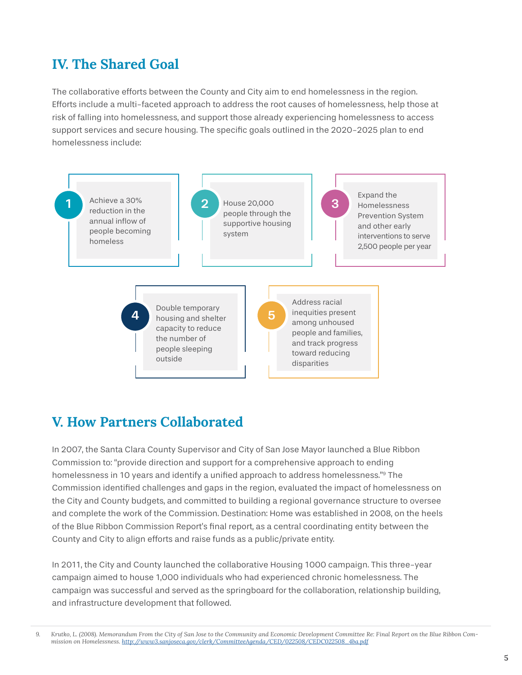#### **IV. The Shared Goal**

The collaborative efforts between the County and City aim to end homelessness in the region. Efforts include a multi-faceted approach to address the root causes of homelessness, help those at risk of falling into homelessness, and support those already experiencing homelessness to access support services and secure housing. The specific goals outlined in the 2020-2025 plan to end homelessness include:



#### **V. How Partners Collaborated**

In 2007, the Santa Clara County Supervisor and City of San Jose Mayor launched a Blue Ribbon Commission to: "provide direction and support for a comprehensive approach to ending homelessness in 10 years and identify a unified approach to address homelessness."9 The Commission identified challenges and gaps in the region, evaluated the impact of homelessness on the City and County budgets, and committed to building a regional governance structure to oversee and complete the work of the Commission. Destination: Home was established in 2008, on the heels of the Blue Ribbon Commission Report's final report, as a central coordinating entity between the County and City to align efforts and raise funds as a public/private entity.

In 2011, the City and County launched the collaborative Housing 1000 campaign. This three-year campaign aimed to house 1,000 individuals who had experienced chronic homelessness. The campaign was successful and served as the springboard for the collaboration, relationship building, and infrastructure development that followed.

*9. Krutko, L. (2008). Memorandum From the City of San Jose to the Community and Economic Development Committee Re: Final Report on the Blue Ribbon Commission on Homelessness. [http://www3.sanjoseca.gov/clerk/CommitteeAgenda/CED/022508/CEDC022508\\_4ba.pdf](http://www3.sanjoseca.gov/clerk/CommitteeAgenda/CED/022508/CEDC022508_4ba.pdf)*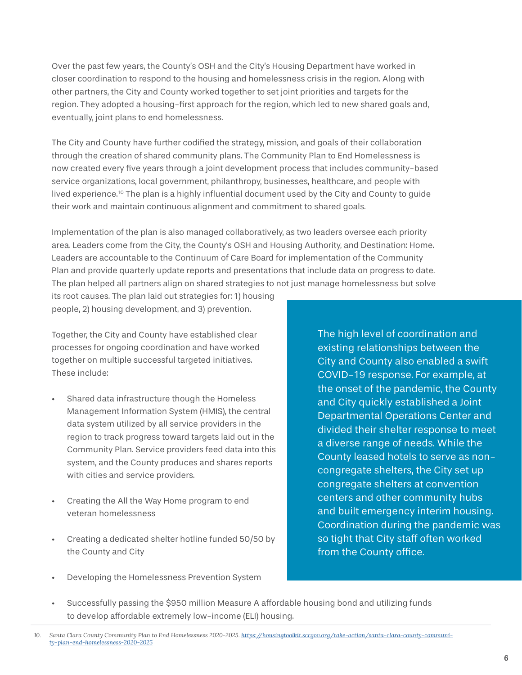Over the past few years, the County's OSH and the City's Housing Department have worked in closer coordination to respond to the housing and homelessness crisis in the region. Along with other partners, the City and County worked together to set joint priorities and targets for the region. They adopted a housing-first approach for the region, which led to new shared goals and, eventually, joint plans to end homelessness.

The City and County have further codified the strategy, mission, and goals of their collaboration through the creation of shared community plans. The Community Plan to End Homelessness is now created every five years through a joint development process that includes community-based service organizations, local government, philanthropy, businesses, healthcare, and people with lived experience.10 The plan is a highly influential document used by the City and County to guide their work and maintain continuous alignment and commitment to shared goals.

Implementation of the plan is also managed collaboratively, as two leaders oversee each priority area. Leaders come from the City, the County's OSH and Housing Authority, and Destination: Home. Leaders are accountable to the Continuum of Care Board for implementation of the Community Plan and provide quarterly update reports and presentations that include data on progress to date. The plan helped all partners align on shared strategies to not just manage homelessness but solve

its root causes. The plan laid out strategies for: 1) housing people, 2) housing development, and 3) prevention.

Together, the City and County have established clear processes for ongoing coordination and have worked together on multiple successful targeted initiatives. These include:

- Shared data infrastructure though the Homeless Management Information System (HMIS), the central data system utilized by all service providers in the region to track progress toward targets laid out in the Community Plan. Service providers feed data into this system, and the County produces and shares reports with cities and service providers.
- Creating the All the Way Home program to end veteran homelessness
- Creating a dedicated shelter hotline funded 50/50 by the County and City
- Developing the Homelessness Prevention System

The high level of coordination and existing relationships between the City and County also enabled a swift COVID-19 response. For example, at the onset of the pandemic, the County and City quickly established a Joint Departmental Operations Center and divided their shelter response to meet a diverse range of needs. While the County leased hotels to serve as noncongregate shelters, the City set up congregate shelters at convention centers and other community hubs and built emergency interim housing. Coordination during the pandemic was so tight that City staff often worked from the County office.

• Successfully passing the \$950 million Measure A affordable housing bond and utilizing funds to develop affordable extremely low-income (ELI) housing.

*<sup>10.</sup> Santa Clara County Community Plan to End Homelessness 2020-2025. [https://housingtoolkit.sccgov.org/take-action/santa-clara-county-communi](https://housingtoolkit.sccgov.org/take-action/santa-clara-county-community-plan-end-homelessness-202)[ty-plan-end-homelessness-2020-2025](https://housingtoolkit.sccgov.org/take-action/santa-clara-county-community-plan-end-homelessness-202)*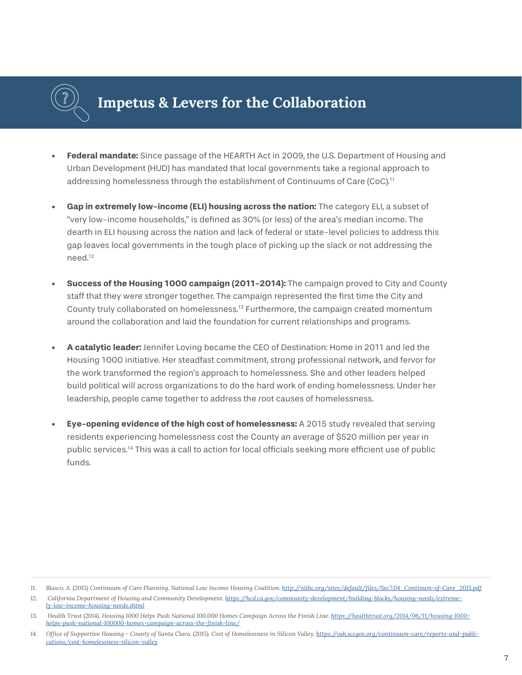

### **Impetus & Levers for the Collaboration**

- **• Federal mandate:** Since passage of the HEARTH Act in 2009, the U.S. Department of Housing and Urban Development (HUD) has mandated that local governments take a regional approach to addressing homelessness through the establishment of Continuums of Care (CoC).11
- **• Gap in extremely low-income (ELI) housing across the nation:** The category ELI, a subset of "very low-income households," is defined as 30% (or less) of the area's median income. The dearth in ELI housing across the nation and lack of federal or state-level policies to address this gap leaves local governments in the tough place of picking up the slack or not addressing the need.12
- **• Success of the Housing 1000 campaign (2011-2014):** The campaign proved to City and County staff that they were stronger together. The campaign represented the first time the City and County truly collaborated on homelessness.13 Furthermore, the campaign created momentum around the collaboration and laid the foundation for current relationships and programs.
- **• A catalytic leader:** Jennifer Loving became the CEO of Destination: Home in 2011 and led the Housing 1000 initiative. Her steadfast commitment, strong professional network, and fervor for the work transformed the region's approach to homelessness. She and other leaders helped build political will across organizations to do the hard work of ending homelessness. Under her leadership, people came together to address the root causes of homelessness.
- **• Eye-opening evidence of the high cost of homelessness:** A 2015 study revealed that serving residents experiencing homelessness cost the County an average of \$520 million per year in public services.14 This was a call to action for local officials seeking more efficient use of public funds.

<sup>11.</sup> Blasco, A. (2015) Continuum of Care Planning. National Low Income Housing Coalition. http://nlihc.org/sites/default/files/Sec7.04\_Continum-of-Care\_2015.pdf

<sup>12.</sup> California Department of Housing and Community Development. [https://hcd.ca.gov/community-development/building-blocks/housing-needs/extreme](https://hcd.ca.gov/community-development/building-blocks/housing-needs/extremely-low-income-housing-)*[ly-low-income-housing-needs.shtml](https://hcd.ca.gov/community-development/building-blocks/housing-needs/extremely-low-income-housing-)*

<sup>13.</sup> Health Trust (2014). Housing 1000 Helps Push National 100,000 Homes Campaign Across the Finish Line. [https://healthtrust.org/2014/06/11/housing-1000](https://healthtrust.org/2014/06/11/housing-1000-helps-push-national-100000-homes-campaign-across-the) *[helps-push-national-100000-homes-campaign-across-the-finish-line/](https://healthtrust.org/2014/06/11/housing-1000-helps-push-national-100000-homes-campaign-across-the)*

<sup>14.</sup> Office of Supportive Housing - County of Santa Clara. (2015). Cost of Homelessness in Silicon Valley. [https://osh.sccgov.org/continuum-care/reports-and-publi](https://osh.sccgov.org/continuum-care/reports-and-publications/cost-homelessness-silicon-valley)*[cations/cost-homelessness-silicon-valley](https://osh.sccgov.org/continuum-care/reports-and-publications/cost-homelessness-silicon-valley)*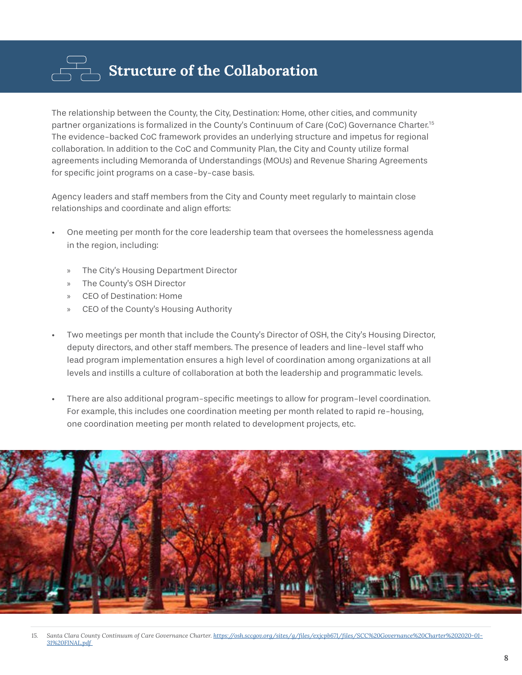

The relationship between the County, the City, Destination: Home, other cities, and community partner organizations is formalized in the County's Continuum of Care (CoC) Governance Charter.15 The evidence-backed CoC framework provides an underlying structure and impetus for regional collaboration. In addition to the CoC and Community Plan, the City and County utilize formal agreements including Memoranda of Understandings (MOUs) and Revenue Sharing Agreements for specific joint programs on a case-by-case basis.

Agency leaders and staff members from the City and County meet regularly to maintain close relationships and coordinate and align efforts:

- One meeting per month for the core leadership team that oversees the homelessness agenda in the region, including:
	- » The City's Housing Department Director
	- » The County's OSH Director
	- » CEO of Destination: Home
	- » CEO of the County's Housing Authority
- Two meetings per month that include the County's Director of OSH, the City's Housing Director, deputy directors, and other staff members. The presence of leaders and line-level staff who lead program implementation ensures a high level of coordination among organizations at all levels and instills a culture of collaboration at both the leadership and programmatic levels.
- There are also additional program-specific meetings to allow for program-level coordination. For example, this includes one coordination meeting per month related to rapid re-housing, one coordination meeting per month related to development projects, etc.

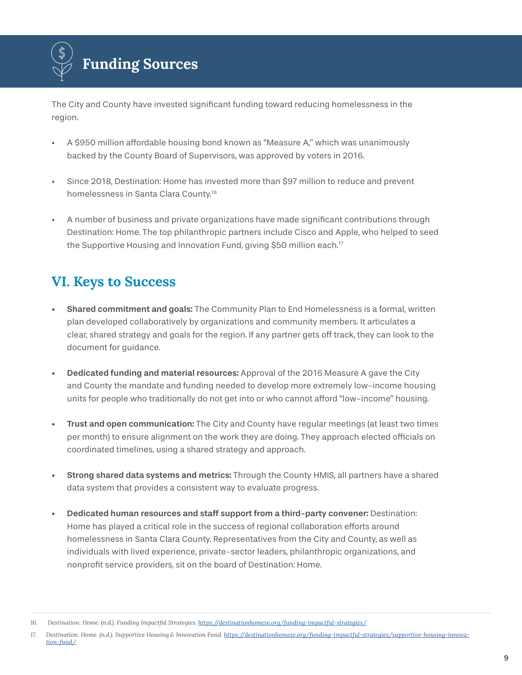

The City and County have invested significant funding toward reducing homelessness in the region.

- A \$950 million affordable housing bond known as "Measure A," which was unanimously backed by the County Board of Supervisors, was approved by voters in 2016.
- Since 2018, Destination: Home has invested more than \$97 million to reduce and prevent homelessness in Santa Clara County.16
- A number of business and private organizations have made significant contributions through Destination: Home. The top philanthropic partners include Cisco and Apple, who helped to seed the Supportive Housing and Innovation Fund, giving \$50 million each.<sup>17</sup>

### **VI. Keys to Success**

- Shared commitment and goals: The Community Plan to End Homelessness is a formal, written plan developed collaboratively by organizations and community members. It articulates a clear, shared strategy and goals for the region. If any partner gets off track, they can look to the document for guidance.
- Dedicated funding and material resources: Approval of the 2016 Measure A gave the City and County the mandate and funding needed to develop more extremely low-income housing units for people who traditionally do not get into or who cannot afford "low-income" housing.
- Trust and open communication: The City and County have regular meetings (at least two times per month) to ensure alignment on the work they are doing. They approach elected officials on coordinated timelines, using a shared strategy and approach.
- Strong shared data systems and metrics: Through the County HMIS, all partners have a shared data system that provides a consistent way to evaluate progress.
- Dedicated human resources and staff support from a third-party convener: Destination: Home has played a critical role in the success of regional collaboration efforts around homelessness in Santa Clara County. Representatives from the City and County, as well as individuals with lived experience, private-sector leaders, philanthropic organizations, and nonprofit service providers, sit on the board of Destination: Home.

*<sup>16.</sup> Destination: Home. (n.d.). Funding Impactful Strategies. <https://destinationhomesv.org/funding-impactful-strategies/>*

<sup>17.</sup> Destination: Home. (n.d.). Supportive Housing & Innovation Fund. [https://destinationhomesv.org/funding-impactful-strategies/supportive-housing-innova](https://destinationhomesv.org/funding-impactful-strategies/supportive-housing-innovation-fund/)*[tion-fund/](https://destinationhomesv.org/funding-impactful-strategies/supportive-housing-innovation-fund/)*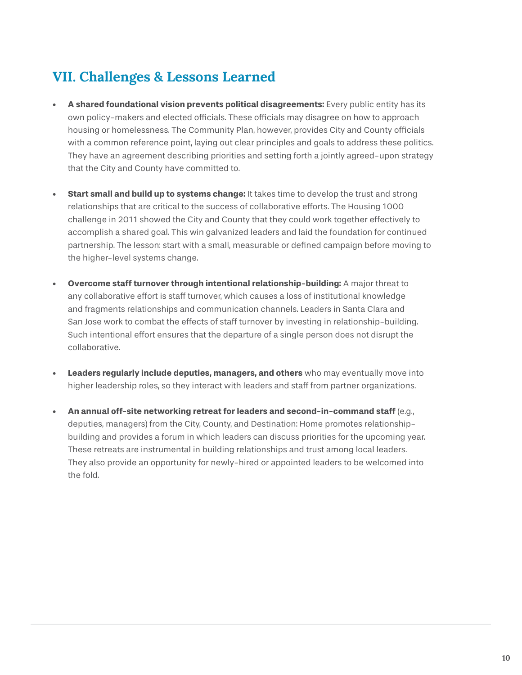### **VII. Challenges & Lessons Learned**

- **• A shared foundational vision prevents political disagreements:** Every public entity has its own policy-makers and elected officials. These officials may disagree on how to approach housing or homelessness. The Community Plan, however, provides City and County officials with a common reference point, laying out clear principles and goals to address these politics. They have an agreement describing priorities and setting forth a jointly agreed-upon strategy that the City and County have committed to.
- **• Start small and build up to systems change:** It takes time to develop the trust and strong relationships that are critical to the success of collaborative efforts. The Housing 1000 challenge in 2011 showed the City and County that they could work together effectively to accomplish a shared goal. This win galvanized leaders and laid the foundation for continued partnership. The lesson: start with a small, measurable or defined campaign before moving to the higher-level systems change.
- **• Overcome staff turnover through intentional relationship-building:** A major threat to any collaborative effort is staff turnover, which causes a loss of institutional knowledge and fragments relationships and communication channels. Leaders in Santa Clara and San Jose work to combat the effects of staff turnover by investing in relationship-building. Such intentional effort ensures that the departure of a single person does not disrupt the collaborative.
- **• Leaders regularly include deputies, managers, and others** who may eventually move into higher leadership roles, so they interact with leaders and staff from partner organizations.
- **• An annual off-site networking retreat for leaders and second-in-command staff** (e.g., deputies, managers) from the City, County, and Destination: Home promotes relationshipbuilding and provides a forum in which leaders can discuss priorities for the upcoming year. These retreats are instrumental in building relationships and trust among local leaders. They also provide an opportunity for newly-hired or appointed leaders to be welcomed into the fold.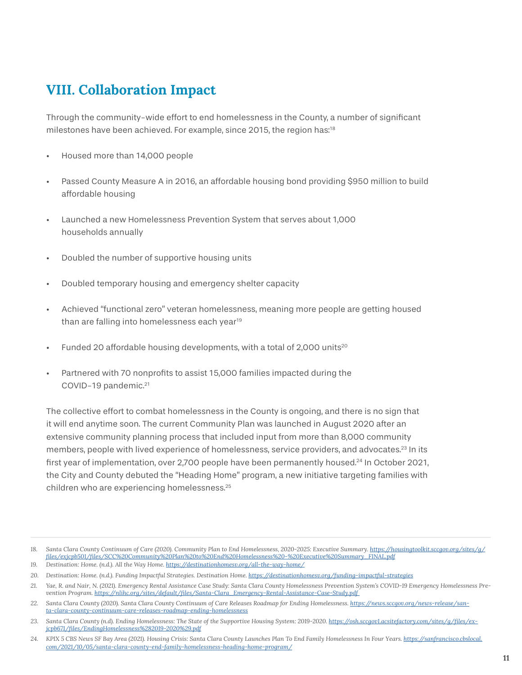#### **VIII. Collaboration Impact**

Through the community-wide effort to end homelessness in the County, a number of significant milestones have been achieved. For example, since 2015, the region has:18

- Housed more than 14,000 people
- Passed County Measure A in 2016, an affordable housing bond providing \$950 million to build affordable housing
- Launched a new Homelessness Prevention System that serves about 1,000 households annually
- Doubled the number of supportive housing units
- Doubled temporary housing and emergency shelter capacity
- Achieved "functional zero" veteran homelessness, meaning more people are getting housed than are falling into homelessness each year<sup>19</sup>
- Funded 20 affordable housing developments, with a total of 2,000 units<sup>20</sup>
- Partnered with 70 nonprofits to assist 15,000 families impacted during the COVID-19 pandemic.<sup>21</sup>

The collective effort to combat homelessness in the County is ongoing, and there is no sign that it will end anytime soon. The current Community Plan was launched in August 2020 after an extensive community planning process that included input from more than 8,000 community members, people with lived experience of homelessness, service providers, and advocates.<sup>23</sup> In its first year of implementation, over 2,700 people have been permanently housed.24 In October 2021, the City and County debuted the "Heading Home" program, a new initiative targeting families with children who are experiencing homelessness.<sup>25</sup>

<sup>18.</sup> Santa Clara County Continuum of Care (2020). Community Plan to End Homelessness, 2020-2025: Executive Summary. [https://housingtoolkit.sccgov.org/sites/g/](https://housingtoolkit.sccgov.org/sites/g/files/exjcpb501/files/SCC%20Community%20Plan%20to%20End%20) *[files/exjcpb501/files/SCC%20Community%20Plan%20to%20End%20Homelessness%20-%20Executive%20Summary\\_FINAL.pdf](https://housingtoolkit.sccgov.org/sites/g/files/exjcpb501/files/SCC%20Community%20Plan%20to%20End%20)*

*<sup>19.</sup> Destination: Home. (n.d.). All the Way Home. <https://destinationhomesv.org/all-the-way-home/>*

<sup>20.</sup> Destination: Home. (n.d.). Funding Impactful Strategies. Destination Home. <https://destinationhomesv.org/funding-impactful-strategies>

*<sup>21.</sup> Yae, R. and Nair, N. (2021). Emergency Rental Assistance Case Study: Santa Clara County Homelessness Prevention System's COVID-19 Emergency Homelessness Prevention Program. [https://nlihc.org/sites/default/files/Santa-Clara\\_Emergency-Rental-Assistance-Case-Study.pdf](https://nlihc.org/sites/default/files/Santa-Clara_Emergency-Rental-Assistance-Case-Study.pdf )* 

*<sup>22.</sup> Santa Clara County (2020). Santa Clara County Continuum of Care Releases Roadmap for Ending Homelessness. [https://news.sccgov.org/news-release/san](https://news.sccgov.org/news-release/santa-clara-county-continuum-care-releases-roadmap-ending-homel)[ta-clara-county-continuum-care-releases-roadmap-ending-homelessness](https://news.sccgov.org/news-release/santa-clara-county-continuum-care-releases-roadmap-ending-homel)*

<sup>23.</sup> Santa Clara County (n.d). Ending Homelessness: The State of the Supportive Housing System: 2019-2020. [https://osh.sccgov1.acsitefactory.com/sites/g/files/ex](https://osh.sccgov1.acsitefactory.com/sites/g/files/exjcpb671/files/EndingHomelessness%282019-2020%2)*[jcpb671/files/EndingHomelessness%282019-2020%29.pdf](https://osh.sccgov1.acsitefactory.com/sites/g/files/exjcpb671/files/EndingHomelessness%282019-2020%2)*

<sup>24.</sup> KPIX 5 CBS News SF Bay Area (2021). Housing Crisis: Santa Clara County Launches Plan To End Family Homelessness In Four Years. [https://sanfrancisco.cbslocal.](https://sanfrancisco.cbslocal.com/2021/10/05/santa-clara-county-end-family-homelessness-heading-home) *[com/2021/10/05/santa-clara-county-end-family-homelessness-heading-home-program/](https://sanfrancisco.cbslocal.com/2021/10/05/santa-clara-county-end-family-homelessness-heading-home)*